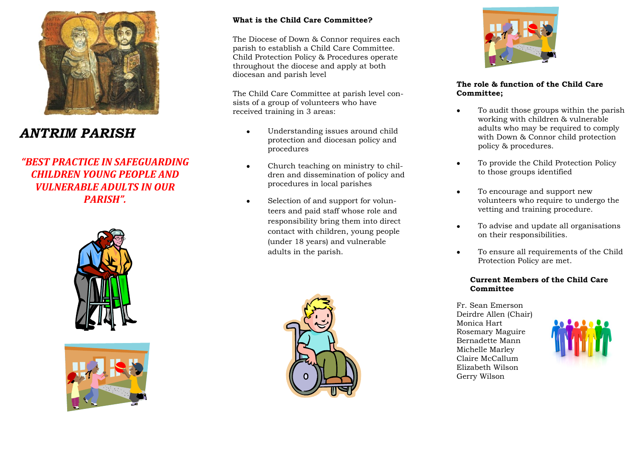

# *ANTRIM PARISH*

*"BEST PRACTICE IN SAFEGUARDING CHILDREN YOUNG PEOPLE AND VULNERABLE ADULTS IN OUR PARISH".*





### **What is the Child Care Committee?**

The Diocese of Down & Connor requires each parish to establish a Child Care Committee. Child Protection Policy & Procedures operate throughout the diocese and apply at both diocesan and parish level

The Child Care Committee at parish level consists of a group of volunteers who have received training in 3 areas:

- Understanding issues around child protection and diocesan policy and procedures
- Church teaching on ministry to chil- $\bullet$ dren and dissemination of policy and procedures in local parishes
- Selection of and support for volun- $\bullet$ teers and paid staff whose role and responsibility bring them into direct contact with children, young people (under 18 years) and vulnerable adults in the parish.





#### **The role & function of the Child Care Committee;**

- To audit those groups within the parish working with children & vulnerable adults who may be required to comply with Down & Connor child protection policy & procedures.
- To provide the Child Protection Policy  $\bullet$ to those groups identified
- To encourage and support new  $\bullet$ volunteers who require to undergo the vetting and training procedure.
- To advise and update all organisations  $\bullet$ on their responsibilities.
- To ensure all requirements of the Child  $\bullet$ Protection Policy are met.

#### **Current Members of the Child Care Committee**

Fr. Sean Emerson Deirdre Allen (Chair) Monica Hart Rosemary Maguire Bernadette Mann Michelle Marley Claire McCallum Elizabeth Wilson Gerry Wilson